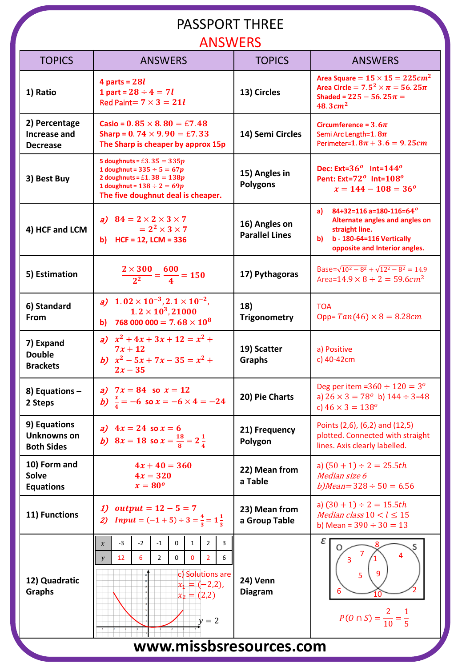#### PASSPORT THREE

#### ANSWERS

| <b>TOPICS</b>                                    | <b>AIVUVVLIVU</b><br><b>ANSWERS</b>                                                                                                                                                                                                                    | <b>TOPICS</b>                          | <b>ANSWERS</b>                                                                                                                                                    |  |
|--------------------------------------------------|--------------------------------------------------------------------------------------------------------------------------------------------------------------------------------------------------------------------------------------------------------|----------------------------------------|-------------------------------------------------------------------------------------------------------------------------------------------------------------------|--|
| 1) Ratio                                         | 4 parts = $28l$<br>1 part = $28 \div 4 = 7l$<br>Red Paint= $7 \times 3 = 21l$                                                                                                                                                                          | 13) Circles                            | Area Square = $15 \times 15 = 225$ cm <sup>2</sup><br>Area Circle = $7.5^2 \times \pi = 56.25\pi$<br>Shaded = $225 - 56.25\pi =$<br>$48.3$ $cm2$                  |  |
| 2) Percentage<br>Increase and<br><b>Decrease</b> | Casio = $0.85 \times 8.80 = \text{\textsterling}7.48$<br>Sharp = $0.74 \times 9.90 = \text{\textsterling}7.33$<br>The Sharp is cheaper by approx 15p                                                                                                   | 14) Semi Circles                       | Circumference = $3.6\pi$<br>Semi Arc Length=1.8 $\pi$<br>Perimeter=1.8 $\pi$ + 3.6 = 9.25 $cm$                                                                    |  |
| 3) Best Buy                                      | 5 doughnuts = £3.35 = $335p$<br>1 doughnut = $335 \div 5 = 67p$<br>2 doughnuts = £1.38 = $138p$<br>1 doughnut = $138 \div 2 = 69p$<br>The five doughnut deal is cheaper.                                                                               | 15) Angles in<br><b>Polygons</b>       | Dec: Ext= $36^o$ Int= $144^o$<br>Pent: Ext=72 <sup>o</sup> Int=108 <sup>o</sup><br>$x = 144 - 108 = 36^{\circ}$                                                   |  |
| 4) HCF and LCM                                   | a) $84 = 2 \times 2 \times 3 \times 7$<br>$= 2^2 \times 3 \times 7$<br>b) HCF = 12, LCM = $336$                                                                                                                                                        | 16) Angles on<br><b>Parallel Lines</b> | 84+32=116 a=180-116=64 <sup>o</sup><br>a)<br>Alternate angles and angles on<br>straight line.<br>b - 180-64=116 Vertically<br>b)<br>opposite and Interior angles. |  |
| 5) Estimation                                    | $\frac{2\times300}{2^2}=\frac{600}{4}=150$                                                                                                                                                                                                             | 17) Pythagoras                         | Base= $\sqrt{10^2 - 8^2} + \sqrt{12^2 - 8^2} = 14.9$<br>Area=14.9 $\times$ 8 ÷ 2 = 59.6cm <sup>2</sup>                                                            |  |
| 6) Standard<br>From                              | $1.02 \times 10^{-3}$ , $2.1 \times 10^{-2}$ ,<br>a)<br>$1.2 \times 10^3, 21000$<br>768 000 000 = 7.68 $\times$ 10 <sup>8</sup><br>b)                                                                                                                  | 18)<br><b>Trigonometry</b>             | TOA<br>Opp= $Tan(46) \times 8 = 8.28 cm$                                                                                                                          |  |
| 7) Expand<br><b>Double</b><br><b>Brackets</b>    | a) $x^2 + 4x + 3x + 12 = x^2 +$<br>$7x + 12$<br>b) $x^2 - 5x + 7x - 35 = x^2 +$<br>$2x - 35$                                                                                                                                                           | 19) Scatter<br><b>Graphs</b>           | a) Positive<br>c) 40-42cm                                                                                                                                         |  |
| 8) Equations -<br>2 Steps                        | a) $7x = 84$ so $x = 12$<br>b) $\frac{x}{4} = -6$ so $x = -6 \times 4 = -24$                                                                                                                                                                           | 20) Pie Charts                         | Deg per item = $360 \div 120 = 3^{\circ}$<br>a) $26 \times 3 = 78^{\circ}$ b) $144 \div 3 = 48$<br>c) $46 \times 3 = 138^{\circ}$                                 |  |
| 9) Equations<br>Unknowns on<br><b>Both Sides</b> | a) $4x = 24$ so $x = 6$<br>b) $8x = 18$ so $x = \frac{18}{8} = 2\frac{1}{4}$                                                                                                                                                                           | 21) Frequency<br>Polygon               | Points (2,6), (6,2) and (12,5)<br>plotted. Connected with straight<br>lines. Axis clearly labelled.                                                               |  |
| 10) Form and<br><b>Solve</b><br><b>Equations</b> | $4x + 40 = 360$<br>$4x = 320$<br>$x=80^o$                                                                                                                                                                                                              | 22) Mean from<br>a Table               | a) $(50 + 1) \div 2 = 25.5$ th<br>Median size 6<br>$b) Mean = 328 \div 50 = 6.56$                                                                                 |  |
| 11) Functions                                    | <i>output</i> = $12 - 5 = 7$<br>1)<br><b>Input</b> = $(-1 + 5) \div 3 = \frac{4}{3} = 1\frac{1}{3}$                                                                                                                                                    | 23) Mean from<br>a Group Table         | a) $(30 + 1) \div 2 = 15.5$ th<br>Median class $10 < l \leq 15$<br>b) Mean = $390 \div 30 = 13$                                                                   |  |
| 12) Quadratic<br><b>Graphs</b>                   | $-3$<br>$-2$<br>$-1$<br>0<br>$\mathbf{1}$<br>$\overline{2}$<br>3<br>$\boldsymbol{\chi}$<br>0<br>$\mathbf{0}$<br>12<br>6<br>$\overline{2}$<br>$\overline{2}$<br>6<br>$\mathcal{Y}$<br>c) Solutions are<br>$x_1 = (-2,2)$ ,<br>$x_2 = (2,2)$<br>$+y = 2$ | 24) Venn<br><b>Diagram</b>             | ε<br>O<br>3<br>9<br>5<br>6<br>$10\,$<br>$P(O \cap S) = \frac{2}{10} = \frac{1}{5}$                                                                                |  |
| www.missbsresources.com                          |                                                                                                                                                                                                                                                        |                                        |                                                                                                                                                                   |  |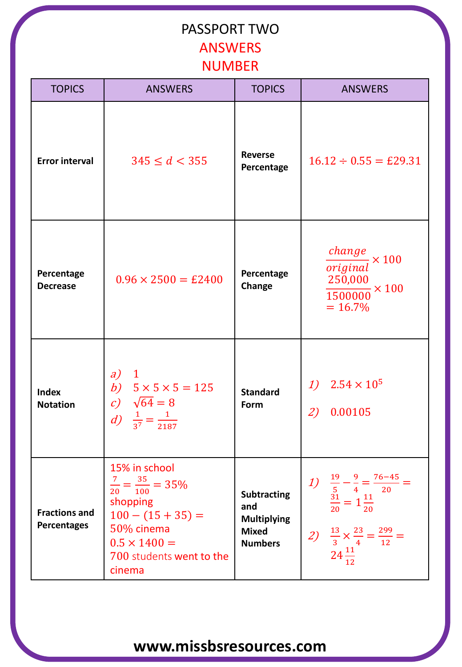### PASSPORT TWO ANSWERS NUMBER

| <b>TOPICS</b>                              | <b>ANSWERS</b>                                                                                                                                                        | <b>TOPICS</b>                                                                     | <b>ANSWERS</b>                                                                                                                                                                                                                  |
|--------------------------------------------|-----------------------------------------------------------------------------------------------------------------------------------------------------------------------|-----------------------------------------------------------------------------------|---------------------------------------------------------------------------------------------------------------------------------------------------------------------------------------------------------------------------------|
| <b>Error interval</b>                      | $345 \le d < 355$                                                                                                                                                     | <b>Reverse</b><br>Percentage                                                      | $16.12 \div 0.55 = \text{\pounds}29.31$                                                                                                                                                                                         |
| Percentage<br><b>Decrease</b>              | $0.96 \times 2500 = \text{\pounds}2400$                                                                                                                               | Percentage<br>Change                                                              | change<br>$\frac{1}{2} \times 100$<br>original<br>250,000<br>$\frac{1500000}{1500000} \times 100$<br>$= 16.7\%$                                                                                                                 |
| <b>Index</b><br><b>Notation</b>            | a)<br>$\mathbf{1}$<br>b) $5 \times 5 \times 5 = 125$<br>c) $\sqrt{64} = 8$<br><i>d</i> ) $\frac{1}{3^7} = \frac{1}{2187}$                                             | <b>Standard</b><br>Form                                                           | 1) $2.54 \times 10^5$<br>2)<br>0.00105                                                                                                                                                                                          |
| <b>Fractions and</b><br><b>Percentages</b> | 15% in school<br>$\frac{7}{20} = \frac{35}{100} = 35\%$<br>shopping<br>$100 - (15 + 35) =$<br>50% cinema<br>$0.5 \times 1400 =$<br>700 students went to the<br>cinema | <b>Subtracting</b><br>and<br><b>Multiplying</b><br><b>Mixed</b><br><b>Numbers</b> | $= \frac{76 - 45}{ }$<br>$\frac{19}{5} - \frac{9}{4} = \frac{1}{4}$<br>$\frac{31}{5} = 1\frac{11}{5}$<br>$\frac{9}{2}$<br>1)<br>20<br>20<br>20<br>2) $\frac{13}{3} \times \frac{23}{4} = \frac{299}{12} =$<br>$24\frac{11}{12}$ |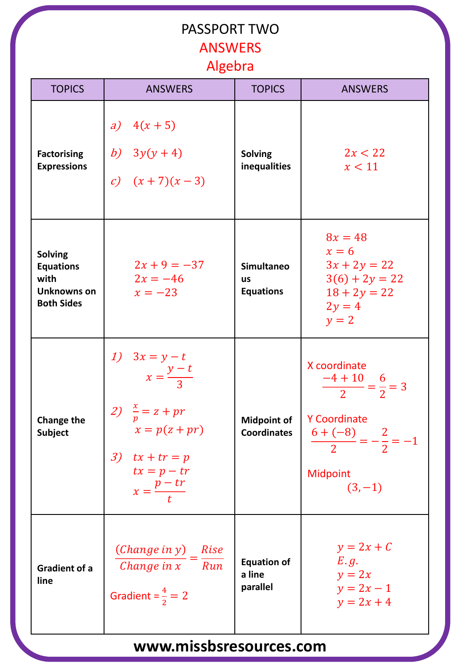## PASSPORT TWO **ANSWERS** Algebra

| <b>TOPICS</b>                                                                  | <b>ANSWERS</b>                                                                                                                                                 | <b>TOPICS</b>                                      | <b>ANSWERS</b>                                                                                                                    |
|--------------------------------------------------------------------------------|----------------------------------------------------------------------------------------------------------------------------------------------------------------|----------------------------------------------------|-----------------------------------------------------------------------------------------------------------------------------------|
| <b>Factorising</b><br><b>Expressions</b>                                       | a) $4(x + 5)$<br>b) $3y(y+4)$<br>c) $(x+7)(x-3)$                                                                                                               | <b>Solving</b><br>inequalities                     | 2x < 22<br>x < 11                                                                                                                 |
| <b>Solving</b><br><b>Equations</b><br>with<br>Unknowns on<br><b>Both Sides</b> | $2x + 9 = -37$<br>$2x = -46$<br>$x = -23$                                                                                                                      | <b>Simultaneo</b><br><b>us</b><br><b>Equations</b> | $8x = 48$<br>$x = 6$<br>$3x + 2y = 22$<br>$3(6) + 2y = 22$<br>$18 + 2y = 22$<br>$2y = 4$<br>$y = 2$                               |
| <b>Change the</b><br><b>Subject</b>                                            | 1) $3x = y - t$<br>$x = \frac{y - t}{3}$<br>2) $\frac{x}{p} = z + pr$<br>$x = p(z + pr)$<br>3) $tx + tr = p$<br>$tx = p - tr$<br>$x = \frac{p - tr}{\sqrt{p}}$ | <b>Midpoint of</b><br><b>Coordinates</b>           | X coordinate<br>$\frac{-4+10}{2} = \frac{6}{2} = 3$<br>Y Coordinate<br>$\frac{6+(-8)}{2}=-\frac{2}{2}=-1$<br>Midpoint<br>$(3,-1)$ |
| <b>Gradient of a</b><br>line                                                   | $(Change in y)$ Rise<br>Change in $x$ $\overline{\phantom{x}}$ Run<br>Gradient = $\frac{4}{2}$ = 2                                                             | <b>Equation of</b><br>a line<br>parallel           | $y = 2x + C$<br>E.g.<br>$y = 2x$<br>$y = 2x - 1$<br>$y = 2x + 4$                                                                  |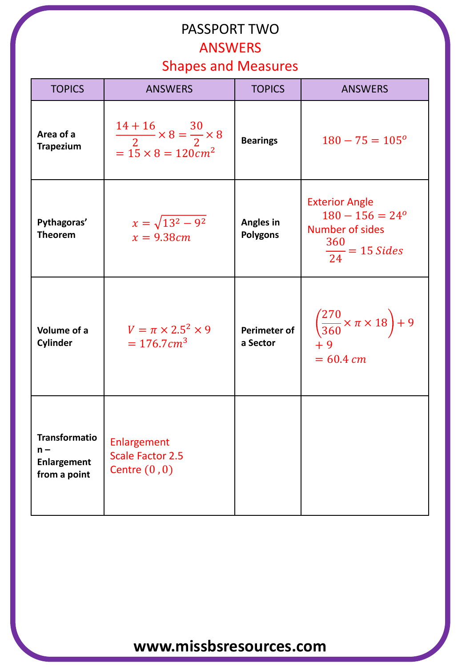# PASSPORT TWO ANSWERS

Shapes and Measures

| <b>TOPICS</b>                                                       | <b>ANSWERS</b>                                                                             | <b>TOPICS</b>                       | <b>ANSWERS</b>                                                                                      |
|---------------------------------------------------------------------|--------------------------------------------------------------------------------------------|-------------------------------------|-----------------------------------------------------------------------------------------------------|
| Area of a<br><b>Trapezium</b>                                       | $\frac{14+16}{2} \times 8 = \frac{30}{2} \times 8$<br>= 15 $\times$ 8 = 120cm <sup>2</sup> | <b>Bearings</b>                     | $180 - 75 = 105^{\circ}$                                                                            |
| Pythagoras'<br><b>Theorem</b>                                       | $x = \sqrt{13^2 - 9^2}$<br>$x = 9.38$ cm                                                   | <b>Angles in</b><br><b>Polygons</b> | <b>Exterior Angle</b><br>$180 - 156 = 24^{\circ}$<br>Number of sides<br>$\frac{360}{24}$ = 15 Sides |
| Volume of a<br>Cylinder                                             | $V = \pi \times 2.5^2 \times 9$<br>$= 176.7 \text{ cm}^3$                                  | Perimeter of<br>a Sector            | $\left(\frac{270}{360} \times \pi \times 18\right) + 9$<br>$+9$<br>$= 60.4$ cm                      |
| <b>Transformatio</b><br>$n -$<br><b>Enlargement</b><br>from a point | Enlargement<br><b>Scale Factor 2.5</b><br>Centre $(0,0)$                                   |                                     |                                                                                                     |